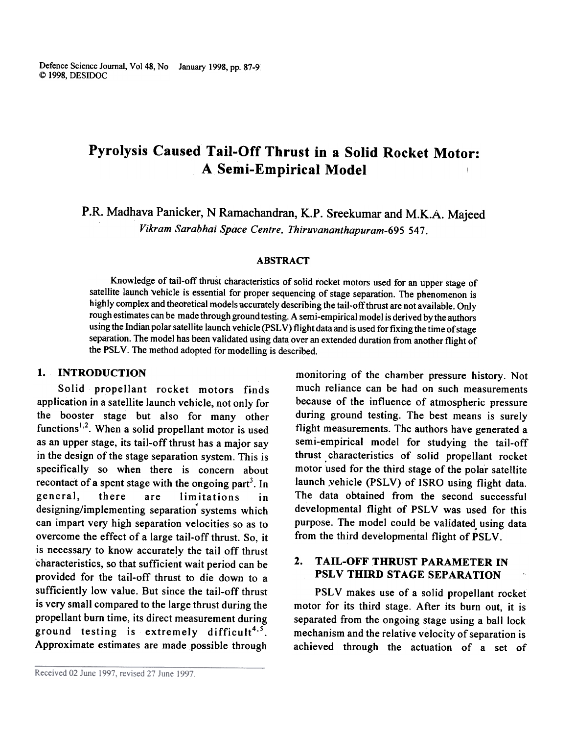Defence Science Journal, Vo148, No January 1998, pp. 87-9 ~ 1998, DESIDOC

# Pyrolysis Caused Tail-Off Thrust in a Solid Rocket Motor: A Semi-Empirical Model

P.R. Madhava Panicker, N Ramachandran, K.P. Sreekumar and M.K.A. Majeed Vikram Sarabhai Space Centre, Thiruvananthapuram-695 547.

#### ABSTRACT

Knowledge of tail-off thrust characteristics of solid rocket motors used for an upper stage of satellite launch vehicle is essential for proper sequencing of stage separation. The phenomenon is highly complex and theoretical models accurately describing the tail-off thrust are not available. Only rough estimates can be made through ground testing. A semi-empirical model is derived by the authors using the Indian polar satellite launch vehicle (PSLV) flight data and is used for fixing the time of stage separation. The model has been validated using data over an extended duration from another flight of the PSLV. The method adopted for modelling is described.

#### I. INTRODUCTION

Solid propellant rocket motors finds application in a satellite launch vehicle, not only for the booster stage but also for many other functions<sup>1,2</sup>. When a solid propellant motor is used as an upper stage, its tail-off thrust has a major say in the design of the stage separation system. This is specifically so when there is concern about recontact of a spent stage with the ongoing part<sup>3</sup>. In general, there are limitations in . designing/implementing separation systems which can impart very high separation velocities so as to overcome the effect of a large tail-off thrust. So, it is necessary to know accurately the tail off thrust characteristics, so that sufficient wait period can be provided for the tail-off thrust to die down to a sufficiently low value. But since the tail-off thrust is very small compared to the large thrust during the propellant burn time, its direct measurement during ground testing is extremely difficult<sup>4,5</sup>. Approximate estimates are made possible through

monitoring of the chamber pressure history. Not much reliance can be had on such measurements because of the influence of atmospheric pressure during ground testing. The best means is surely flight measurements. The authors have generated a semi-empirical model for studying the tail-off thrust. characteristics of solid propellant rocket motor used for the third stage of the polar satellite launch vehicle (PSLV) of ISRO using flight data. The data obtained from the second successful developmental flight of PSLV was used for this purpose. The model could be validated using data from the third developmental flight of PSLV.

#### 2. TAIL-OFF THRUST PARAMETER IN PSLV THIRD STAGE SEPARATION

PSLV makes use of a solid propellant rocket motor for its third stage. After its burn out, it is separated from the ongoing stage using a ball lock mechanism and the relative velocity of separation is achieved through the actuation of a set of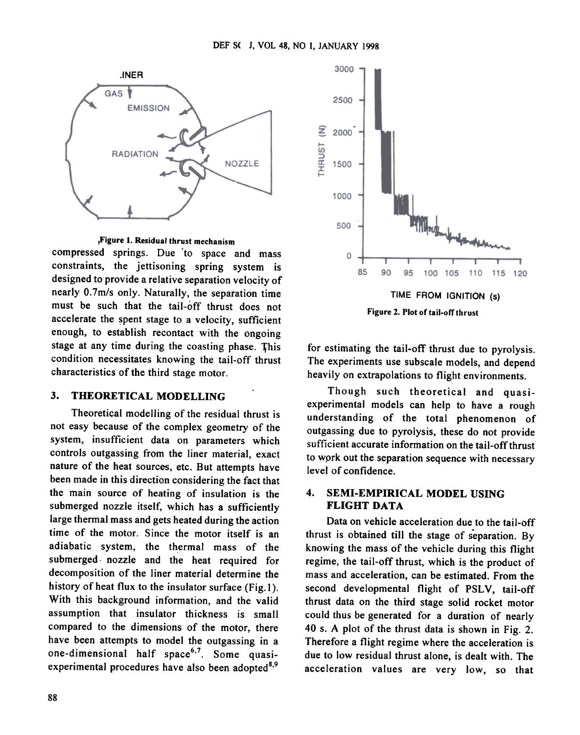

,Figure I. Residual thrust mechanism

compressed springs. Due to space and mass constraints, the jettisoning spring system is designed to provide a relative separation velocity of nearly O.7m/s only. Naturally, the separation time must be such that the tail-off thrust does not accelerate the spent stage to a velocity, sufficient enough, to establish recontact with the ongoing stage at any time during the coasting phase. This condition necessitates knowing the tail-off thrust characteristics of the third stage motor .

#### 3. THEORETICAL MODELLING

Theoretical modelling of the residual thrust is not easy because of the complex geometry of the system, insufficient data on parameters which controls outgassing from the liner material, exact nature of the heat sources, etc. But attempts have been made in this direction considering the fact that the main source of heating of insulation is the submerged nozzle itself, which has a sufficiently large thermal mass and gets heated during the action time of the motor. Since the motor itself is an adiabatic system, the thermal mass of the submerged. nozzle and the heat required for decomposition of the liner material determine the history of heat flux to the insulator surface (Fig.1). With this background information, and the valid assumption that insulator thickness is small compared to the dimensions of the motor, there have been attempts to model the outgassing in a one-dimensional half space<sup>6,7</sup>. Some quasiexperimental procedures have also been adopted $8,9$ 



for estimating the tail-off thrust due to pyrolysis. The experiments use subscale models, and depend heavily on extrapolations to flight environments.

Though such theoretical and quasiexperimental models can help to have a rough understanding of the total phenomenon of outgassing due to pyrolysis, these do not provide sufficient accurate information on the tail-off thrust to wprk out the separation sequence with necessary level of confidence.

#### 4. SEMI-EMPIRICAL MODEL USING FLIGHT DATA

Data on vehicle acceleration due to the tail-off thrust is obtained till the stage of separation. By knowing the mass of the vehicle during this flight regime, the tail-off thrust, which is the product of mass and acceleration, can be estimated. From the second developmental flight of PSLV, tail-off thrust data on the third stage solid rocket motor could thus be generated for a duration of nearly 40 s. A plot of the thrust data is shown in Fig. 2. Therefore a flight regime where the acceleration is due to low residual thrust alone, is dealt with. The acceleration values are very low, so that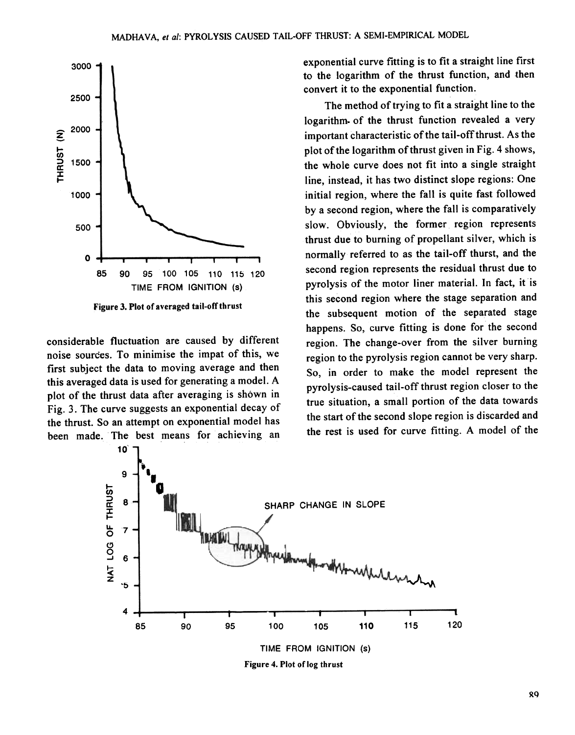

considerable fluctuation are caused by different noise sources. To minimise the impat of this, we first subject the data to moving average and then this averaged data is used for generating a model. A plot of the thrust data after averaging is shown in Fig. 3. The curve suggests an exponential decay of the thrust. So an attempt on exponential model has been made. The best means for achieving an exponential curve fitting is to fit a straight line first to the logarithm of the thrust function, and then convert it to the exponential function.

The method of trying to fit a straight line to the logarithm. of the thrust function revealed a very important characteristic of the tail-off thrust. As the plot of the logarithm of thrust given in Fig. 4 shows, the whole curve does not fit into a single straight line, instead, it has two distinct slope regions: One initial region, where the fall is quite fast followed by a second region, where the fall is comparatively slow. Obviously, the former region represents thrust due to burning of propellant silver, which is normally referred to as the tail-off thurst, and the second region represents the residual thrust due to pyrolysis of the motor liner material. In fact, it is this second region where the stage separation and the subsequent motion of the separated stage happens. So, curve fitting is done for the second region. The change-over from the silver burning region to the pyrolysis region cannot be very sharp. So, in order to make the model represent the pyrolysis-caused tail-off thrust region closer to the true situation, a small portion of the data towards the start of the second slope region is discarded and the rest is used for curve fitting. A model of the

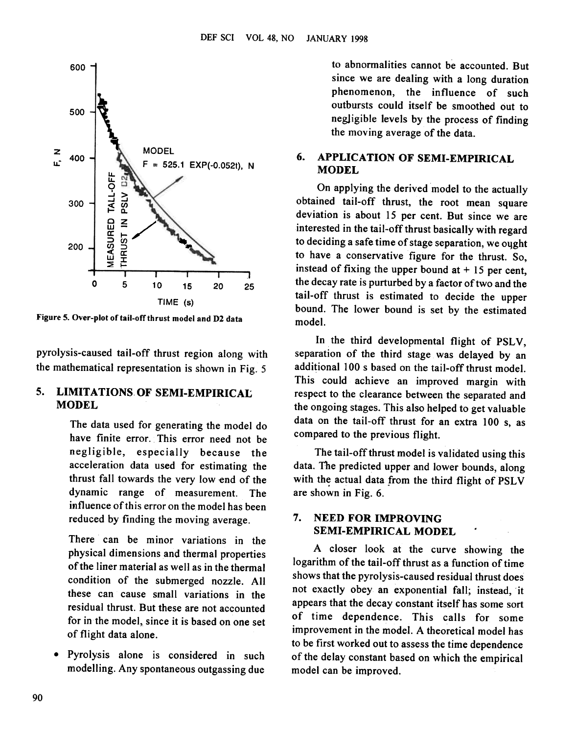

Figure 5. Over-plot of tail-off thrust model and D2 data

pyrolysis-caused tail-off thrust region along with the mathematical representation is shown in Fig. 5

### 5. LIMITATIONS OF SEMI-EMPIRICAL MODEL

The data used for generating the model do have finite error. This error need not be negligible, especially because the acceleration data used for estimating the thrust fall towards the very low end of the dynamic range of measurement. The influence of this error on the model has been reduced by finding the moving average.

There can be minor variations in the physical dimensions and thermal properties of the liner material as well as in the thermal condition of the submerged nozzle. All these can cause small variations in the residual thrust. But these are not accounted for in the model, since it is based on one set of flight data alone.

.Pyrolysis alone is considered in such modelling. Any spontaneous outgassing due

to abnormalities cannot be accounted. But since we are dealing with a long duration phenomenon, the influence of such outbursts could itself be smoothed out to negligible levels by the process of finding the moving average of the data.

#### 6. APPLICATION OF SEMI-EMPIRICAL MODEL

On applying the derived model to the actually obtained tail-off thrust, the root mean square deviation is about 15 per cent. But since we are interested in the tail-off thrust basically with regard to deciding a safe time of stage separation, we ought to have a conservative figure for the thrust. So, instead of fixing the upper bound at  $+15$  per cent, the decay rate is purturbed by a factor of two and the tail-off thrust is estimated to decide the upper bound. The lower bound is set by the estimated model.

In the third developmental flight of PSLV, separation of the third stage was delayed by an additional lOO s based on the tail-off thrust model. This could achieve an improved margin with respect to the clearance between the separated and the ongoing stages. This also helped to get valuable data on the tail-off thrust for an extra 100 s, as compared to the previous flight.

The tail-off thrust model is validated using this data. The predicted upper and lower bounds, along with the actual data from the third flight of PSLV are shown in Fig. 6.

### 7. NEED FOR IMPROVING SEMI-EMPIRICAL MODEL

A closer look at the curve showing the logarithm of the tail-off thrust as a function of time shows that the pyrolysis-caused residual thrust does not exactly obey an exponential fall; instead, it appears that the decay constant itself has some sort of time dependence. This calls for some improvement in the model. A theoretical model has to be first worked out to assess the time dependence of the delay constant based on which the empirical model can be improved.